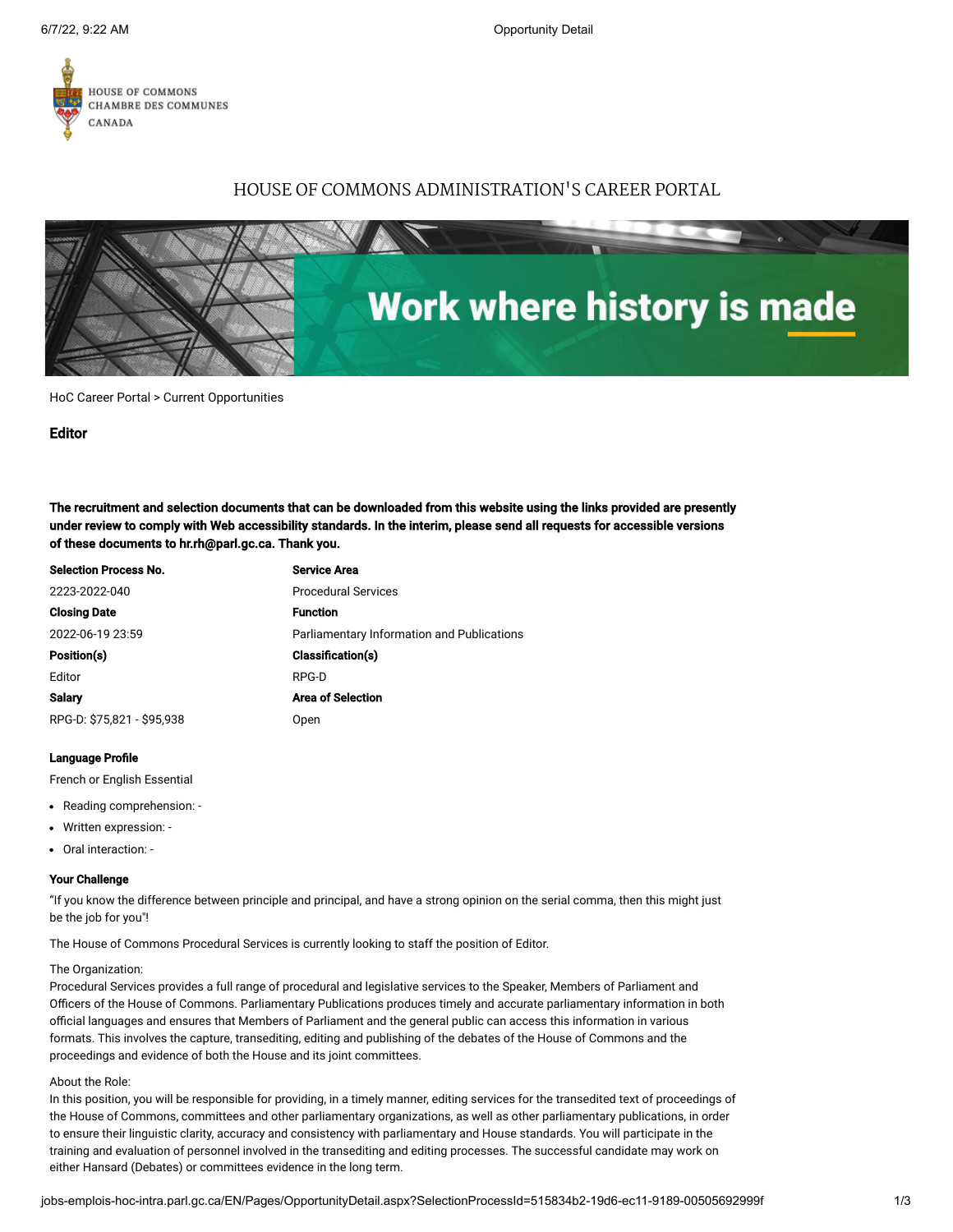

# HOUSE OF COMMONS ADMINISTRATION'S CAREER PORTAL



HoC Career Portal > [Current Opportunities](http://jobs-emplois-hoc-intra.parl.gc.ca/EN/Pages/Opportunities.aspx)

## Editor

The recruitment and selection documents that can be downloaded from this website using the links provided are presently under review to comply with Web accessibility standards. In the interim, please send all requests for accessible versions of these documents to hr.rh@parl.gc.ca. Thank you.

| <b>Selection Process No.</b> | <b>Service Area</b>                        |
|------------------------------|--------------------------------------------|
| 2223-2022-040                | <b>Procedural Services</b>                 |
| <b>Closing Date</b>          | <b>Function</b>                            |
| 2022-06-19 23:59             | Parliamentary Information and Publications |
| Position(s)                  | <b>Classification(s)</b>                   |
| Editor                       | RPG-D                                      |
| <b>Salary</b>                | <b>Area of Selection</b>                   |
| RPG-D: \$75,821 - \$95,938   | Open                                       |

# Language Profile

French or English Essential

- Reading comprehension: -
- Written expression: -
- Oral interaction: -

#### Your Challenge

"If you know the difference between principle and principal, and have a strong opinion on the serial comma, then this might just be the job for you"!

The House of Commons Procedural Services is currently looking to staff the position of Editor.

#### The Organization:

Procedural Services provides a full range of procedural and legislative services to the Speaker, Members of Parliament and Officers of the House of Commons. Parliamentary Publications produces timely and accurate parliamentary information in both official languages and ensures that Members of Parliament and the general public can access this information in various formats. This involves the capture, transediting, editing and publishing of the debates of the House of Commons and the proceedings and evidence of both the House and its joint committees.

#### About the Role:

In this position, you will be responsible for providing, in a timely manner, editing services for the transedited text of proceedings of the House of Commons, committees and other parliamentary organizations, as well as other parliamentary publications, in order to ensure their linguistic clarity, accuracy and consistency with parliamentary and House standards. You will participate in the training and evaluation of personnel involved in the transediting and editing processes. The successful candidate may work on either Hansard (Debates) or committees evidence in the long term.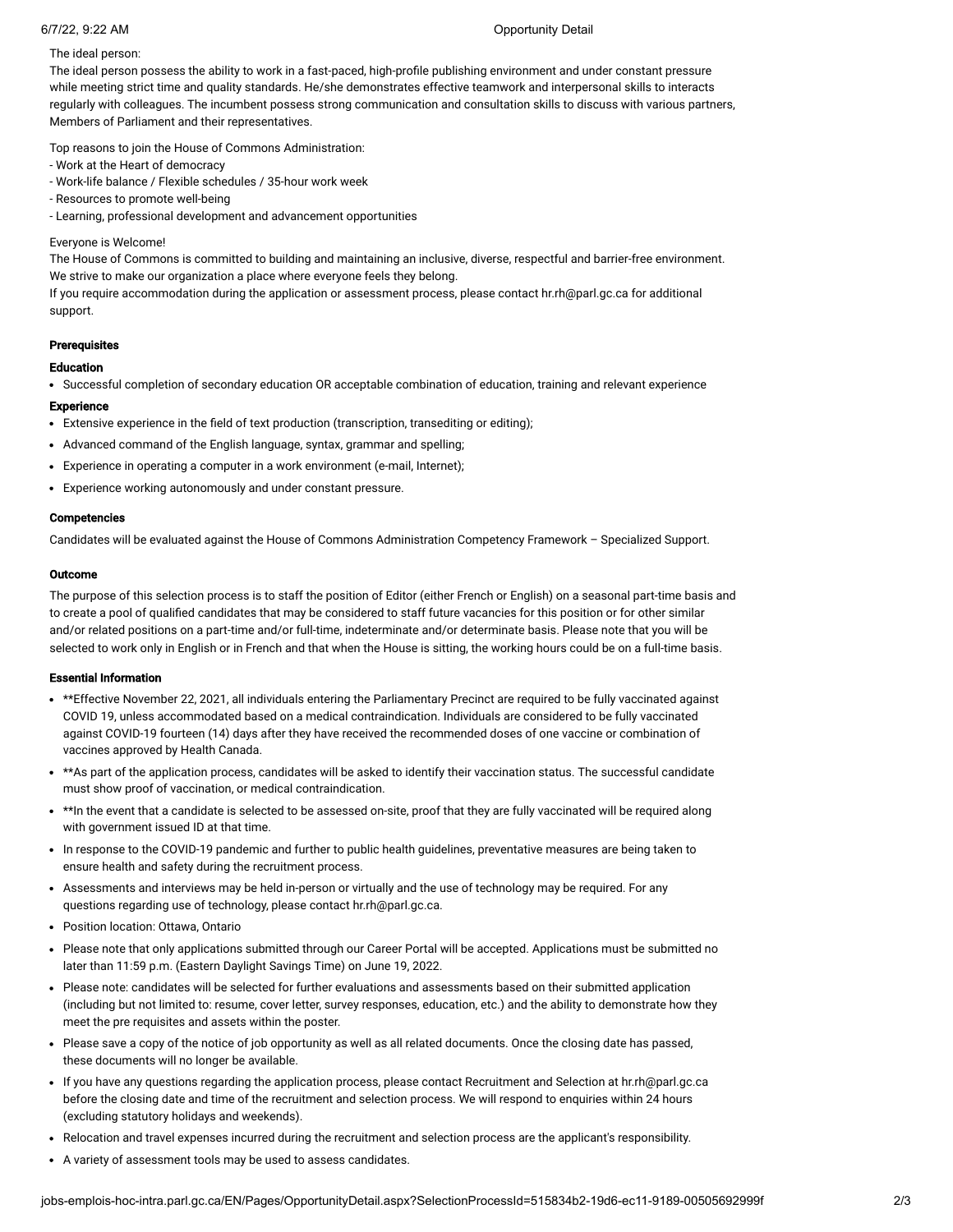# 6/7/22, 9:22 AM Opportunity Detail

# The ideal person:

The ideal person possess the ability to work in a fast-paced, high-profile publishing environment and under constant pressure while meeting strict time and quality standards. He/she demonstrates effective teamwork and interpersonal skills to interacts regularly with colleagues. The incumbent possess strong communication and consultation skills to discuss with various partners, Members of Parliament and their representatives.

Top reasons to join the House of Commons Administration:

- Work at the Heart of democracy
- Work-life balance / Flexible schedules / 35-hour work week
- Resources to promote well-being

- Learning, professional development and advancement opportunities

# Everyone is Welcome!

The House of Commons is committed to building and maintaining an inclusive, diverse, respectful and barrier-free environment. We strive to make our organization a place where everyone feels they belong.

If you require accommodation during the application or assessment process, please contact hr.rh@parl.gc.ca for additional support.

# Prerequisites

# Education

Successful completion of secondary education OR acceptable combination of education, training and relevant experience

# **Experience**

- Extensive experience in the field of text production (transcription, transediting or editing);
- Advanced command of the English language, syntax, grammar and spelling;
- Experience in operating a computer in a work environment (e-mail, Internet);
- Experience working autonomously and under constant pressure.

# Competencies

Candidates will be evaluated against the House of Commons Administration Competency Framework – Specialized Support.

# Outcome

The purpose of this selection process is to staff the position of Editor (either French or English) on a seasonal part-time basis and to create a pool of qualified candidates that may be considered to staff future vacancies for this position or for other similar and/or related positions on a part-time and/or full-time, indeterminate and/or determinate basis. Please note that you will be selected to work only in English or in French and that when the House is sitting, the working hours could be on a full-time basis.

## Essential Information

- \* \*\*Effective November 22, 2021, all individuals entering the Parliamentary Precinct are required to be fully vaccinated against COVID 19, unless accommodated based on a medical contraindication. Individuals are considered to be fully vaccinated against COVID-19 fourteen (14) days after they have received the recommended doses of one vaccine or combination of vaccines approved by Health Canada.
- \* \*\*As part of the application process, candidates will be asked to identify their vaccination status. The successful candidate must show proof of vaccination, or medical contraindication.
- \*\*In the event that a candidate is selected to be assessed on-site, proof that they are fully vaccinated will be required along with government issued ID at that time.
- In response to the COVID-19 pandemic and further to public health guidelines, preventative measures are being taken to ensure health and safety during the recruitment process.
- Assessments and interviews may be held in-person or virtually and the use of technology may be required. For any questions regarding use of technology, please contact hr.rh@parl.gc.ca.
- Position location: Ottawa, Ontario
- Please note that only applications submitted through our Career Portal will be accepted. Applications must be submitted no later than 11:59 p.m. (Eastern Daylight Savings Time) on June 19, 2022.
- Please note: candidates will be selected for further evaluations and assessments based on their submitted application (including but not limited to: resume, cover letter, survey responses, education, etc.) and the ability to demonstrate how they meet the pre requisites and assets within the poster.
- Please save a copy of the notice of job opportunity as well as all related documents. Once the closing date has passed, these documents will no longer be available.
- If you have any questions regarding the application process, please contact Recruitment and Selection at hr.rh@parl.gc.ca before the closing date and time of the recruitment and selection process. We will respond to enquiries within 24 hours (excluding statutory holidays and weekends).
- Relocation and travel expenses incurred during the recruitment and selection process are the applicant's responsibility.
- A variety of assessment tools may be used to assess candidates.